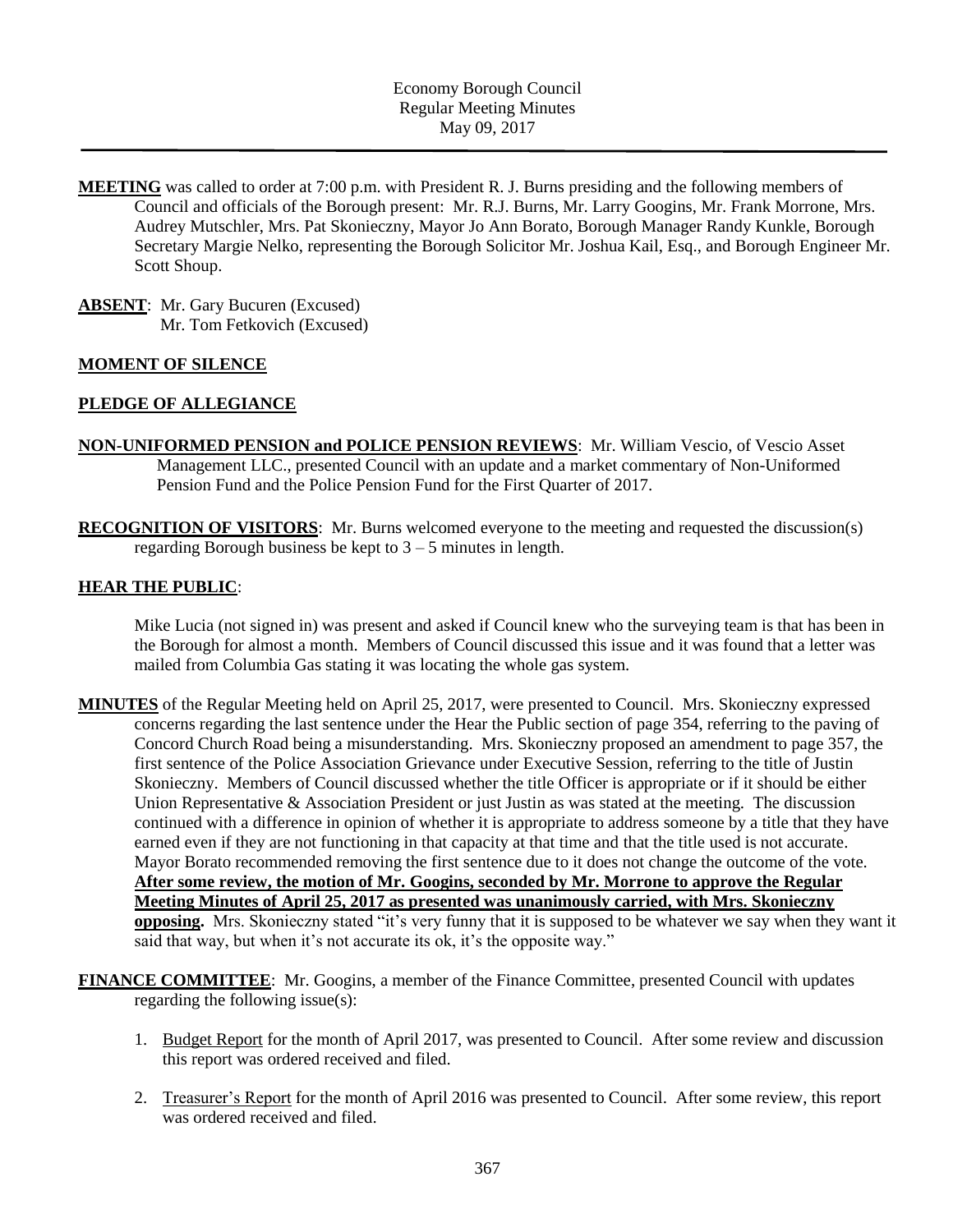- **MEETING** was called to order at 7:00 p.m. with President R. J. Burns presiding and the following members of Council and officials of the Borough present: Mr. R.J. Burns, Mr. Larry Googins, Mr. Frank Morrone, Mrs. Audrey Mutschler, Mrs. Pat Skonieczny, Mayor Jo Ann Borato, Borough Manager Randy Kunkle, Borough Secretary Margie Nelko, representing the Borough Solicitor Mr. Joshua Kail, Esq., and Borough Engineer Mr. Scott Shoup.
- **ABSENT**: Mr. Gary Bucuren (Excused) Mr. Tom Fetkovich (Excused)

#### **MOMENT OF SILENCE**

#### **PLEDGE OF ALLEGIANCE**

- **NON-UNIFORMED PENSION and POLICE PENSION REVIEWS**: Mr. William Vescio, of Vescio Asset Management LLC., presented Council with an update and a market commentary of Non-Uniformed Pension Fund and the Police Pension Fund for the First Quarter of 2017.
- **RECOGNITION OF VISITORS**: Mr. Burns welcomed everyone to the meeting and requested the discussion(s) regarding Borough business be kept to 3 – 5 minutes in length.

#### **HEAR THE PUBLIC**:

Mike Lucia (not signed in) was present and asked if Council knew who the surveying team is that has been in the Borough for almost a month. Members of Council discussed this issue and it was found that a letter was mailed from Columbia Gas stating it was locating the whole gas system.

- **MINUTES** of the Regular Meeting held on April 25, 2017, were presented to Council. Mrs. Skonieczny expressed concerns regarding the last sentence under the Hear the Public section of page 354, referring to the paving of Concord Church Road being a misunderstanding. Mrs. Skonieczny proposed an amendment to page 357, the first sentence of the Police Association Grievance under Executive Session, referring to the title of Justin Skonieczny. Members of Council discussed whether the title Officer is appropriate or if it should be either Union Representative & Association President or just Justin as was stated at the meeting. The discussion continued with a difference in opinion of whether it is appropriate to address someone by a title that they have earned even if they are not functioning in that capacity at that time and that the title used is not accurate. Mayor Borato recommended removing the first sentence due to it does not change the outcome of the vote. **After some review, the motion of Mr. Googins, seconded by Mr. Morrone to approve the Regular Meeting Minutes of April 25, 2017 as presented was unanimously carried, with Mrs. Skonieczny opposing.** Mrs. Skonieczny stated "it's very funny that it is supposed to be whatever we say when they want it said that way, but when it's not accurate its ok, it's the opposite way."
- **FINANCE COMMITTEE**: Mr. Googins, a member of the Finance Committee, presented Council with updates regarding the following issue(s):
	- 1. Budget Report for the month of April 2017, was presented to Council. After some review and discussion this report was ordered received and filed.
	- 2. Treasurer's Report for the month of April 2016 was presented to Council. After some review, this report was ordered received and filed.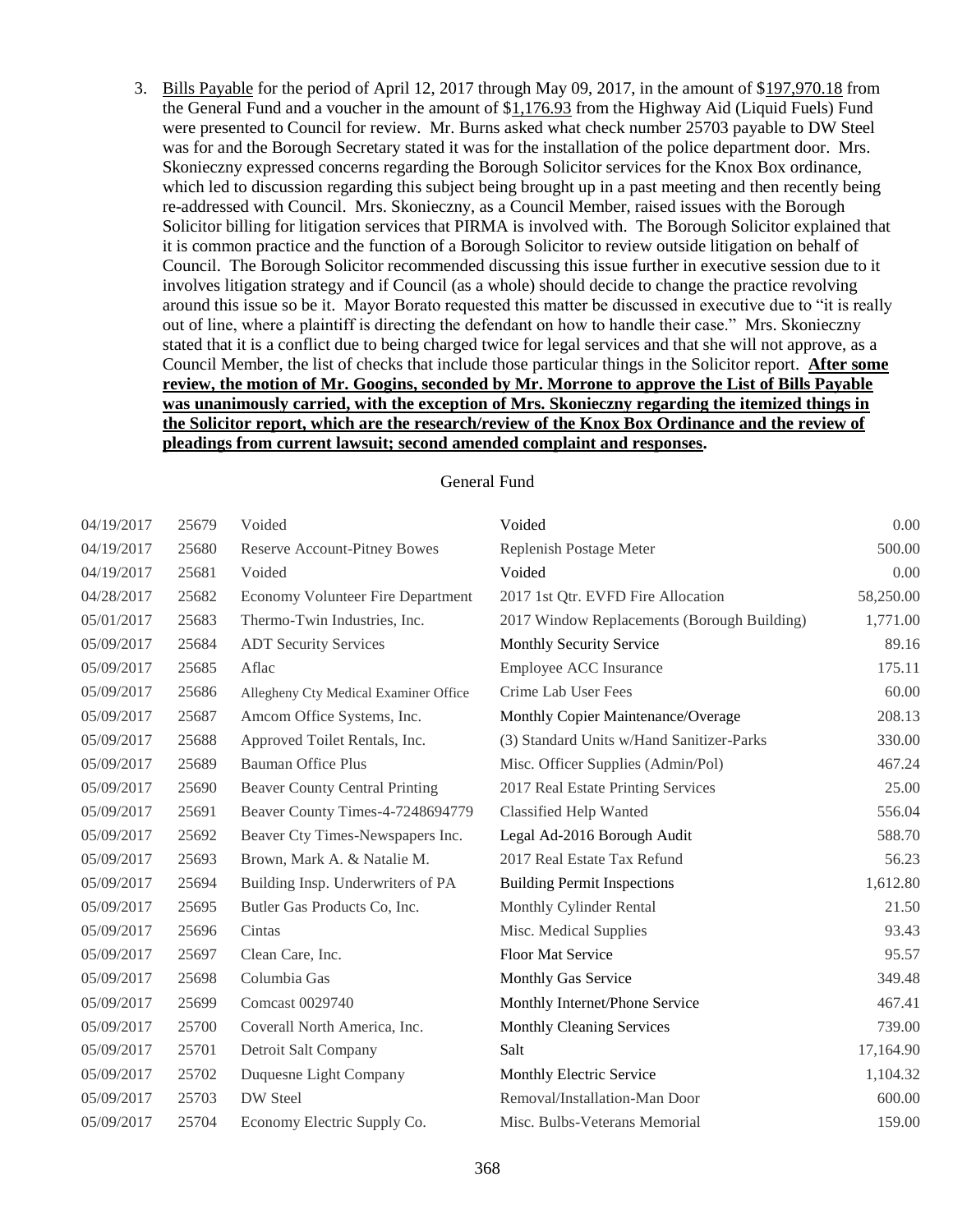3. Bills Payable for the period of April 12, 2017 through May 09, 2017, in the amount of \$197,970.18 from the General Fund and a voucher in the amount of \$1,176.93 from the Highway Aid (Liquid Fuels) Fund were presented to Council for review. Mr. Burns asked what check number 25703 payable to DW Steel was for and the Borough Secretary stated it was for the installation of the police department door. Mrs. Skonieczny expressed concerns regarding the Borough Solicitor services for the Knox Box ordinance, which led to discussion regarding this subject being brought up in a past meeting and then recently being re-addressed with Council. Mrs. Skonieczny, as a Council Member, raised issues with the Borough Solicitor billing for litigation services that PIRMA is involved with. The Borough Solicitor explained that it is common practice and the function of a Borough Solicitor to review outside litigation on behalf of Council. The Borough Solicitor recommended discussing this issue further in executive session due to it involves litigation strategy and if Council (as a whole) should decide to change the practice revolving around this issue so be it. Mayor Borato requested this matter be discussed in executive due to "it is really out of line, where a plaintiff is directing the defendant on how to handle their case." Mrs. Skonieczny stated that it is a conflict due to being charged twice for legal services and that she will not approve, as a Council Member, the list of checks that include those particular things in the Solicitor report. **After some review, the motion of Mr. Googins, seconded by Mr. Morrone to approve the List of Bills Payable was unanimously carried, with the exception of Mrs. Skonieczny regarding the itemized things in the Solicitor report, which are the research/review of the Knox Box Ordinance and the review of pleadings from current lawsuit; second amended complaint and responses.**

#### General Fund

| 04/19/2017 | 25679 | Voided                                   | Voided                                      | 0.00      |
|------------|-------|------------------------------------------|---------------------------------------------|-----------|
| 04/19/2017 | 25680 | <b>Reserve Account-Pitney Bowes</b>      | Replenish Postage Meter                     | 500.00    |
| 04/19/2017 | 25681 | Voided                                   | Voided                                      | 0.00      |
| 04/28/2017 | 25682 | <b>Economy Volunteer Fire Department</b> | 2017 1st Qtr. EVFD Fire Allocation          | 58,250.00 |
| 05/01/2017 | 25683 | Thermo-Twin Industries, Inc.             | 2017 Window Replacements (Borough Building) | 1,771.00  |
| 05/09/2017 | 25684 | <b>ADT Security Services</b>             | Monthly Security Service                    | 89.16     |
| 05/09/2017 | 25685 | Aflac                                    | Employee ACC Insurance                      | 175.11    |
| 05/09/2017 | 25686 | Allegheny Cty Medical Examiner Office    | Crime Lab User Fees                         | 60.00     |
| 05/09/2017 | 25687 | Amcom Office Systems, Inc.               | Monthly Copier Maintenance/Overage          | 208.13    |
| 05/09/2017 | 25688 | Approved Toilet Rentals, Inc.            | (3) Standard Units w/Hand Sanitizer-Parks   | 330.00    |
| 05/09/2017 | 25689 | <b>Bauman Office Plus</b>                | Misc. Officer Supplies (Admin/Pol)          | 467.24    |
| 05/09/2017 | 25690 | <b>Beaver County Central Printing</b>    | 2017 Real Estate Printing Services          | 25.00     |
| 05/09/2017 | 25691 | Beaver County Times-4-7248694779         | <b>Classified Help Wanted</b>               | 556.04    |
| 05/09/2017 | 25692 | Beaver Cty Times-Newspapers Inc.         | Legal Ad-2016 Borough Audit                 | 588.70    |
| 05/09/2017 | 25693 | Brown, Mark A. & Natalie M.              | 2017 Real Estate Tax Refund                 | 56.23     |
| 05/09/2017 | 25694 | Building Insp. Underwriters of PA        | <b>Building Permit Inspections</b>          | 1,612.80  |
| 05/09/2017 | 25695 | Butler Gas Products Co, Inc.             | Monthly Cylinder Rental                     | 21.50     |
| 05/09/2017 | 25696 | Cintas                                   | Misc. Medical Supplies                      | 93.43     |
| 05/09/2017 | 25697 | Clean Care, Inc.                         | <b>Floor Mat Service</b>                    | 95.57     |
| 05/09/2017 | 25698 | Columbia Gas                             | Monthly Gas Service                         | 349.48    |
| 05/09/2017 | 25699 | <b>Comcast 0029740</b>                   | Monthly Internet/Phone Service              | 467.41    |
| 05/09/2017 | 25700 | Coverall North America, Inc.             | <b>Monthly Cleaning Services</b>            | 739.00    |
| 05/09/2017 | 25701 | Detroit Salt Company                     | Salt                                        | 17,164.90 |
| 05/09/2017 | 25702 | Duquesne Light Company                   | Monthly Electric Service                    | 1,104.32  |
| 05/09/2017 | 25703 | DW Steel                                 | Removal/Installation-Man Door               | 600.00    |
| 05/09/2017 | 25704 | Economy Electric Supply Co.              | Misc. Bulbs-Veterans Memorial               | 159.00    |
|            |       |                                          |                                             |           |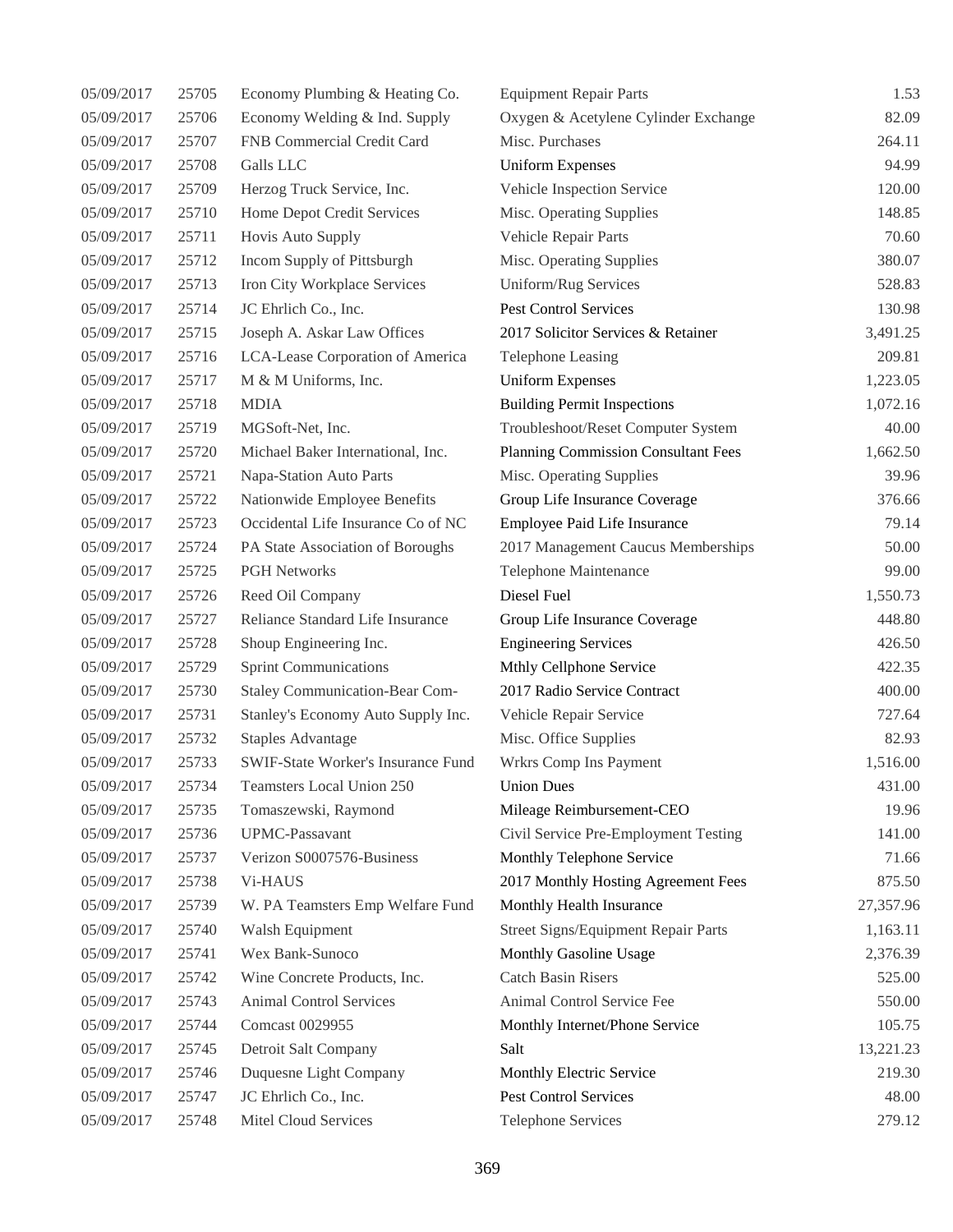| 05/09/2017 | 25705 | Economy Plumbing & Heating Co.        | <b>Equipment Repair Parts</b>              | 1.53      |
|------------|-------|---------------------------------------|--------------------------------------------|-----------|
| 05/09/2017 | 25706 | Economy Welding & Ind. Supply         | Oxygen & Acetylene Cylinder Exchange       | 82.09     |
| 05/09/2017 | 25707 | FNB Commercial Credit Card            | Misc. Purchases                            | 264.11    |
| 05/09/2017 | 25708 | Galls LLC                             | <b>Uniform Expenses</b>                    | 94.99     |
| 05/09/2017 | 25709 | Herzog Truck Service, Inc.            | Vehicle Inspection Service                 | 120.00    |
| 05/09/2017 | 25710 | Home Depot Credit Services            | Misc. Operating Supplies                   | 148.85    |
| 05/09/2017 | 25711 | Hovis Auto Supply                     | Vehicle Repair Parts                       | 70.60     |
| 05/09/2017 | 25712 | Incom Supply of Pittsburgh            | Misc. Operating Supplies                   | 380.07    |
| 05/09/2017 | 25713 | Iron City Workplace Services          | Uniform/Rug Services                       | 528.83    |
| 05/09/2017 | 25714 | JC Ehrlich Co., Inc.                  | <b>Pest Control Services</b>               | 130.98    |
| 05/09/2017 | 25715 | Joseph A. Askar Law Offices           | 2017 Solicitor Services & Retainer         | 3,491.25  |
| 05/09/2017 | 25716 | LCA-Lease Corporation of America      | <b>Telephone Leasing</b>                   | 209.81    |
| 05/09/2017 | 25717 | M & M Uniforms, Inc.                  | <b>Uniform Expenses</b>                    | 1,223.05  |
| 05/09/2017 | 25718 | <b>MDIA</b>                           | <b>Building Permit Inspections</b>         | 1,072.16  |
| 05/09/2017 | 25719 | MGSoft-Net, Inc.                      | Troubleshoot/Reset Computer System         | 40.00     |
| 05/09/2017 | 25720 | Michael Baker International, Inc.     | <b>Planning Commission Consultant Fees</b> | 1,662.50  |
| 05/09/2017 | 25721 | Napa-Station Auto Parts               | Misc. Operating Supplies                   | 39.96     |
| 05/09/2017 | 25722 | Nationwide Employee Benefits          | Group Life Insurance Coverage              | 376.66    |
| 05/09/2017 | 25723 | Occidental Life Insurance Co of NC    | Employee Paid Life Insurance               | 79.14     |
| 05/09/2017 | 25724 | PA State Association of Boroughs      | 2017 Management Caucus Memberships         | 50.00     |
| 05/09/2017 | 25725 | <b>PGH Networks</b>                   | Telephone Maintenance                      | 99.00     |
| 05/09/2017 | 25726 | Reed Oil Company                      | Diesel Fuel                                | 1,550.73  |
| 05/09/2017 | 25727 | Reliance Standard Life Insurance      | Group Life Insurance Coverage              | 448.80    |
| 05/09/2017 | 25728 | Shoup Engineering Inc.                | <b>Engineering Services</b>                | 426.50    |
| 05/09/2017 | 25729 | <b>Sprint Communications</b>          | Mthly Cellphone Service                    | 422.35    |
| 05/09/2017 | 25730 | <b>Staley Communication-Bear Com-</b> | 2017 Radio Service Contract                | 400.00    |
| 05/09/2017 | 25731 | Stanley's Economy Auto Supply Inc.    | Vehicle Repair Service                     | 727.64    |
| 05/09/2017 | 25732 | <b>Staples Advantage</b>              | Misc. Office Supplies                      | 82.93     |
| 05/09/2017 | 25733 | SWIF-State Worker's Insurance Fund    | Wrkrs Comp Ins Payment                     | 1,516.00  |
| 05/09/2017 | 25734 | Teamsters Local Union 250             | <b>Union Dues</b>                          | 431.00    |
| 05/09/2017 | 25735 | Tomaszewski, Raymond                  | Mileage Reimbursement-CEO                  | 19.96     |
| 05/09/2017 | 25736 | <b>UPMC-Passavant</b>                 | Civil Service Pre-Employment Testing       | 141.00    |
| 05/09/2017 | 25737 | Verizon S0007576-Business             | Monthly Telephone Service                  | 71.66     |
| 05/09/2017 | 25738 | Vi-HAUS                               | 2017 Monthly Hosting Agreement Fees        | 875.50    |
| 05/09/2017 | 25739 | W. PA Teamsters Emp Welfare Fund      | Monthly Health Insurance                   | 27,357.96 |
| 05/09/2017 | 25740 | Walsh Equipment                       | Street Signs/Equipment Repair Parts        | 1,163.11  |
| 05/09/2017 | 25741 | Wex Bank-Sunoco                       | Monthly Gasoline Usage                     | 2,376.39  |
| 05/09/2017 | 25742 | Wine Concrete Products, Inc.          | <b>Catch Basin Risers</b>                  | 525.00    |
| 05/09/2017 | 25743 | <b>Animal Control Services</b>        | Animal Control Service Fee                 | 550.00    |
| 05/09/2017 | 25744 | Comcast 0029955                       | Monthly Internet/Phone Service             | 105.75    |
| 05/09/2017 | 25745 | Detroit Salt Company                  | Salt                                       | 13,221.23 |
| 05/09/2017 | 25746 | Duquesne Light Company                | Monthly Electric Service                   | 219.30    |
| 05/09/2017 | 25747 | JC Ehrlich Co., Inc.                  | Pest Control Services                      | 48.00     |
| 05/09/2017 | 25748 | Mitel Cloud Services                  | <b>Telephone Services</b>                  | 279.12    |
|            |       |                                       |                                            |           |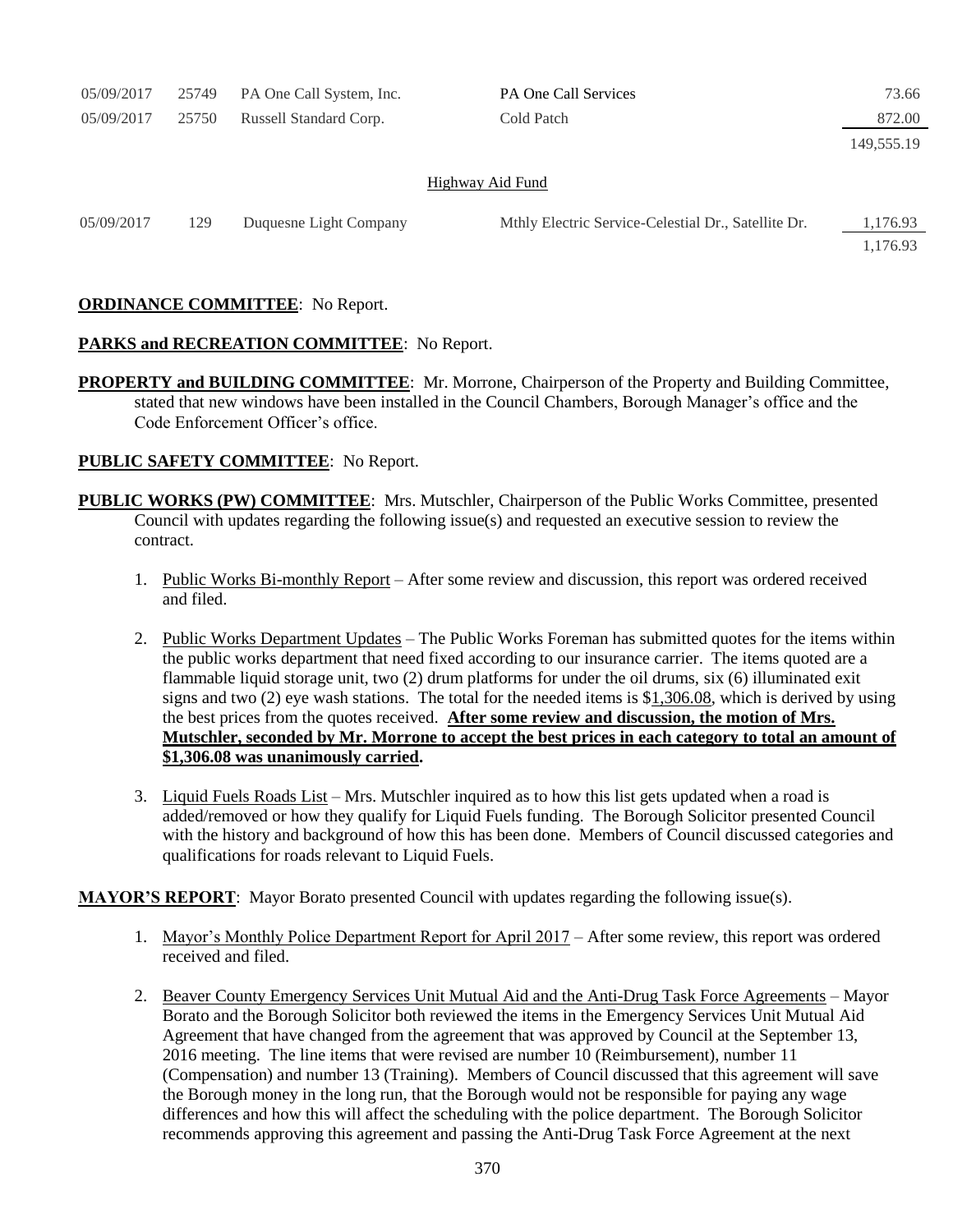| 05/09/2017              | 25749 | PA One Call System, Inc. | <b>PA One Call Services</b>                         | 73.66                |  |  |  |
|-------------------------|-------|--------------------------|-----------------------------------------------------|----------------------|--|--|--|
| 05/09/2017              | 25750 | Russell Standard Corp.   | Cold Patch                                          | 872.00               |  |  |  |
|                         |       |                          |                                                     | 149,555.19           |  |  |  |
| <b>Highway Aid Fund</b> |       |                          |                                                     |                      |  |  |  |
| 05/09/2017              | 129   | Duquesne Light Company   | Mthly Electric Service-Celestial Dr., Satellite Dr. | 1,176.93<br>1.176.93 |  |  |  |

## **ORDINANCE COMMITTEE**: No Report.

## **PARKS and RECREATION COMMITTEE**: No Report.

**PROPERTY and BUILDING COMMITTEE**: Mr. Morrone, Chairperson of the Property and Building Committee, stated that new windows have been installed in the Council Chambers, Borough Manager's office and the Code Enforcement Officer's office.

## **PUBLIC SAFETY COMMITTEE**: No Report.

- **PUBLIC WORKS (PW) COMMITTEE**: Mrs. Mutschler, Chairperson of the Public Works Committee, presented Council with updates regarding the following issue(s) and requested an executive session to review the contract.
	- 1. Public Works Bi-monthly Report After some review and discussion, this report was ordered received and filed.
	- 2. Public Works Department Updates The Public Works Foreman has submitted quotes for the items within the public works department that need fixed according to our insurance carrier. The items quoted are a flammable liquid storage unit, two (2) drum platforms for under the oil drums, six (6) illuminated exit signs and two (2) eye wash stations. The total for the needed items is \$1,306.08, which is derived by using the best prices from the quotes received. **After some review and discussion, the motion of Mrs. Mutschler, seconded by Mr. Morrone to accept the best prices in each category to total an amount of \$1,306.08 was unanimously carried.**
	- 3. Liquid Fuels Roads List Mrs. Mutschler inquired as to how this list gets updated when a road is added/removed or how they qualify for Liquid Fuels funding. The Borough Solicitor presented Council with the history and background of how this has been done. Members of Council discussed categories and qualifications for roads relevant to Liquid Fuels.

**MAYOR'S REPORT**: Mayor Borato presented Council with updates regarding the following issue(s).

- 1. Mayor's Monthly Police Department Report for April 2017 After some review, this report was ordered received and filed.
- 2. Beaver County Emergency Services Unit Mutual Aid and the Anti-Drug Task Force Agreements Mayor Borato and the Borough Solicitor both reviewed the items in the Emergency Services Unit Mutual Aid Agreement that have changed from the agreement that was approved by Council at the September 13, 2016 meeting. The line items that were revised are number 10 (Reimbursement), number 11 (Compensation) and number 13 (Training). Members of Council discussed that this agreement will save the Borough money in the long run, that the Borough would not be responsible for paying any wage differences and how this will affect the scheduling with the police department. The Borough Solicitor recommends approving this agreement and passing the Anti-Drug Task Force Agreement at the next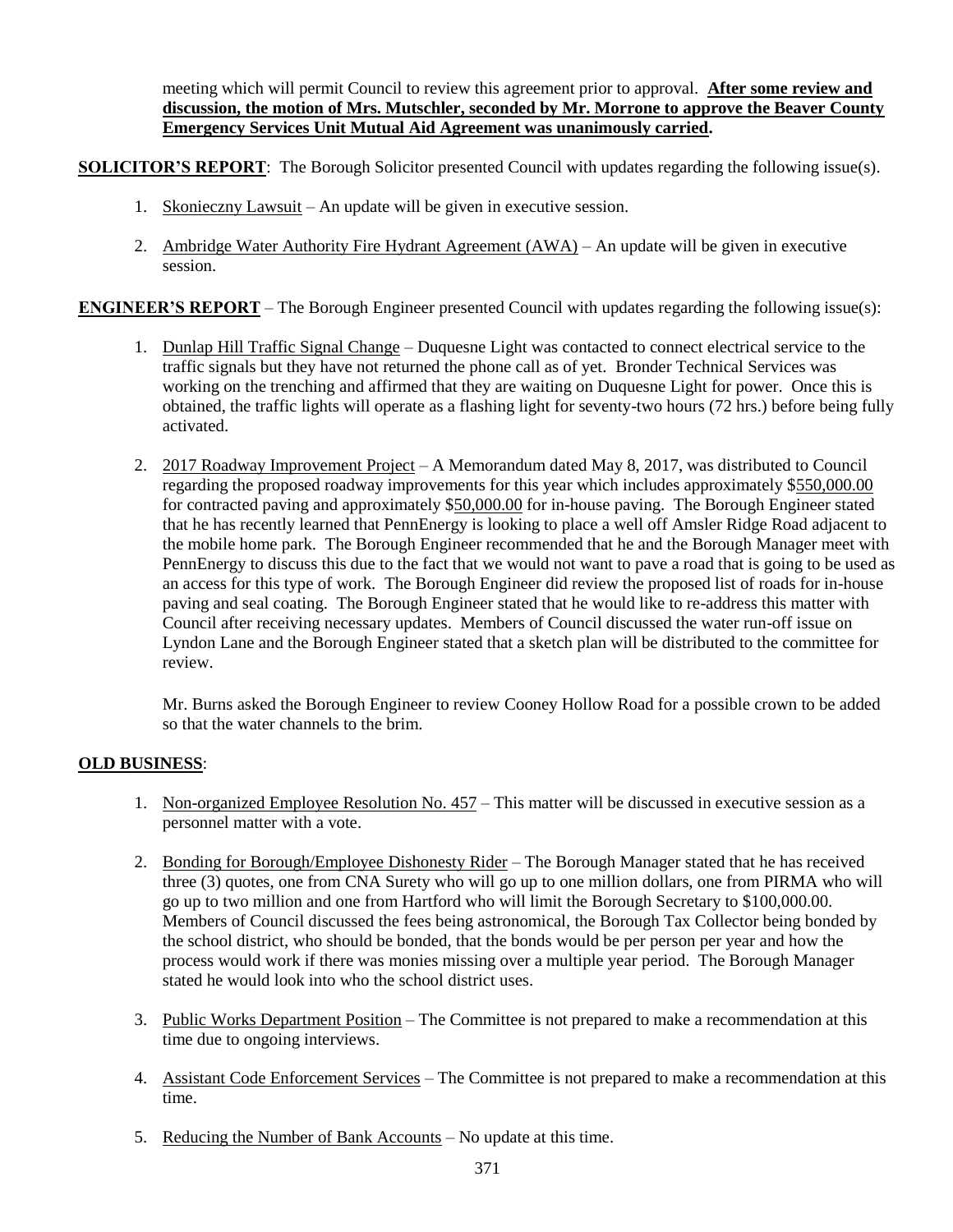meeting which will permit Council to review this agreement prior to approval. **After some review and discussion, the motion of Mrs. Mutschler, seconded by Mr. Morrone to approve the Beaver County Emergency Services Unit Mutual Aid Agreement was unanimously carried.**

**SOLICITOR'S REPORT:** The Borough Solicitor presented Council with updates regarding the following issue(s).

- 1. Skonieczny Lawsuit An update will be given in executive session.
- 2. Ambridge Water Authority Fire Hydrant Agreement (AWA) An update will be given in executive session.

**ENGINEER'S REPORT** – The Borough Engineer presented Council with updates regarding the following issue(s):

- 1. Dunlap Hill Traffic Signal Change Duquesne Light was contacted to connect electrical service to the traffic signals but they have not returned the phone call as of yet. Bronder Technical Services was working on the trenching and affirmed that they are waiting on Duquesne Light for power. Once this is obtained, the traffic lights will operate as a flashing light for seventy-two hours (72 hrs.) before being fully activated.
- 2. 2017 Roadway Improvement Project A Memorandum dated May 8, 2017, was distributed to Council regarding the proposed roadway improvements for this year which includes approximately \$550,000.00 for contracted paving and approximately \$50,000.00 for in-house paving. The Borough Engineer stated that he has recently learned that PennEnergy is looking to place a well off Amsler Ridge Road adjacent to the mobile home park. The Borough Engineer recommended that he and the Borough Manager meet with PennEnergy to discuss this due to the fact that we would not want to pave a road that is going to be used as an access for this type of work. The Borough Engineer did review the proposed list of roads for in-house paving and seal coating. The Borough Engineer stated that he would like to re-address this matter with Council after receiving necessary updates. Members of Council discussed the water run-off issue on Lyndon Lane and the Borough Engineer stated that a sketch plan will be distributed to the committee for review.

Mr. Burns asked the Borough Engineer to review Cooney Hollow Road for a possible crown to be added so that the water channels to the brim.

## **OLD BUSINESS**:

- 1. Non-organized Employee Resolution No. 457 This matter will be discussed in executive session as a personnel matter with a vote.
- 2. Bonding for Borough/Employee Dishonesty Rider The Borough Manager stated that he has received three (3) quotes, one from CNA Surety who will go up to one million dollars, one from PIRMA who will go up to two million and one from Hartford who will limit the Borough Secretary to \$100,000.00. Members of Council discussed the fees being astronomical, the Borough Tax Collector being bonded by the school district, who should be bonded, that the bonds would be per person per year and how the process would work if there was monies missing over a multiple year period. The Borough Manager stated he would look into who the school district uses.
- 3. Public Works Department Position The Committee is not prepared to make a recommendation at this time due to ongoing interviews.
- 4. Assistant Code Enforcement Services The Committee is not prepared to make a recommendation at this time.
- 5. Reducing the Number of Bank Accounts No update at this time.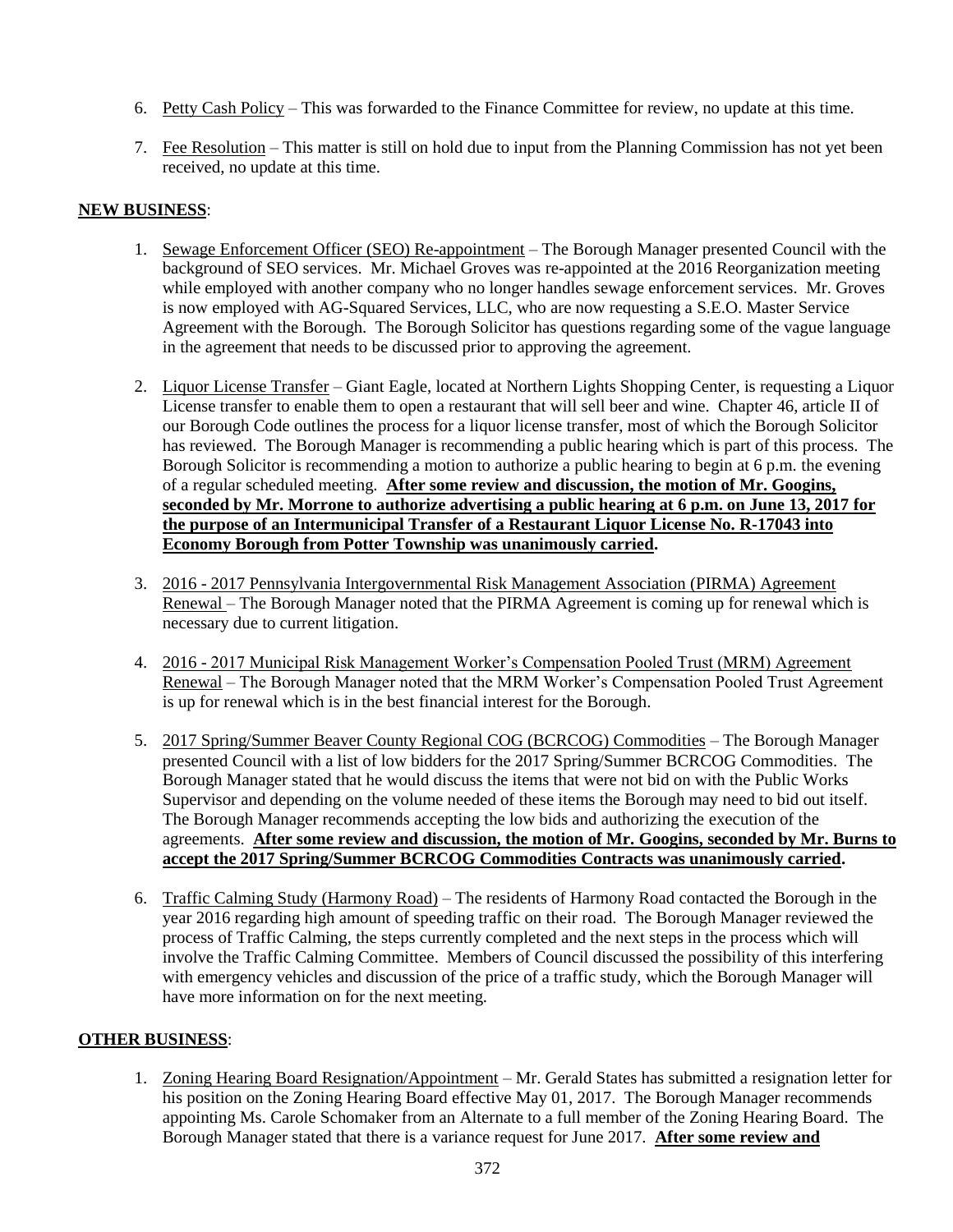- 6. Petty Cash Policy This was forwarded to the Finance Committee for review, no update at this time.
- 7. Fee Resolution This matter is still on hold due to input from the Planning Commission has not yet been received, no update at this time.

# **NEW BUSINESS**:

- 1. Sewage Enforcement Officer (SEO) Re-appointment The Borough Manager presented Council with the background of SEO services. Mr. Michael Groves was re-appointed at the 2016 Reorganization meeting while employed with another company who no longer handles sewage enforcement services. Mr. Groves is now employed with AG-Squared Services, LLC, who are now requesting a S.E.O. Master Service Agreement with the Borough. The Borough Solicitor has questions regarding some of the vague language in the agreement that needs to be discussed prior to approving the agreement.
- 2. Liquor License Transfer Giant Eagle, located at Northern Lights Shopping Center, is requesting a Liquor License transfer to enable them to open a restaurant that will sell beer and wine. Chapter 46, article II of our Borough Code outlines the process for a liquor license transfer, most of which the Borough Solicitor has reviewed. The Borough Manager is recommending a public hearing which is part of this process. The Borough Solicitor is recommending a motion to authorize a public hearing to begin at 6 p.m. the evening of a regular scheduled meeting. **After some review and discussion, the motion of Mr. Googins, seconded by Mr. Morrone to authorize advertising a public hearing at 6 p.m. on June 13, 2017 for the purpose of an Intermunicipal Transfer of a Restaurant Liquor License No. R-17043 into Economy Borough from Potter Township was unanimously carried.**
- 3. 2016 2017 Pennsylvania Intergovernmental Risk Management Association (PIRMA) Agreement Renewal – The Borough Manager noted that the PIRMA Agreement is coming up for renewal which is necessary due to current litigation.
- 4. 2016 2017 Municipal Risk Management Worker's Compensation Pooled Trust (MRM) Agreement Renewal – The Borough Manager noted that the MRM Worker's Compensation Pooled Trust Agreement is up for renewal which is in the best financial interest for the Borough.
- 5. 2017 Spring/Summer Beaver County Regional COG (BCRCOG) Commodities The Borough Manager presented Council with a list of low bidders for the 2017 Spring/Summer BCRCOG Commodities. The Borough Manager stated that he would discuss the items that were not bid on with the Public Works Supervisor and depending on the volume needed of these items the Borough may need to bid out itself. The Borough Manager recommends accepting the low bids and authorizing the execution of the agreements. **After some review and discussion, the motion of Mr. Googins, seconded by Mr. Burns to accept the 2017 Spring/Summer BCRCOG Commodities Contracts was unanimously carried.**
- 6. Traffic Calming Study (Harmony Road) The residents of Harmony Road contacted the Borough in the year 2016 regarding high amount of speeding traffic on their road. The Borough Manager reviewed the process of Traffic Calming, the steps currently completed and the next steps in the process which will involve the Traffic Calming Committee. Members of Council discussed the possibility of this interfering with emergency vehicles and discussion of the price of a traffic study, which the Borough Manager will have more information on for the next meeting.

## **OTHER BUSINESS**:

1. Zoning Hearing Board Resignation/Appointment – Mr. Gerald States has submitted a resignation letter for his position on the Zoning Hearing Board effective May 01, 2017. The Borough Manager recommends appointing Ms. Carole Schomaker from an Alternate to a full member of the Zoning Hearing Board. The Borough Manager stated that there is a variance request for June 2017. **After some review and**